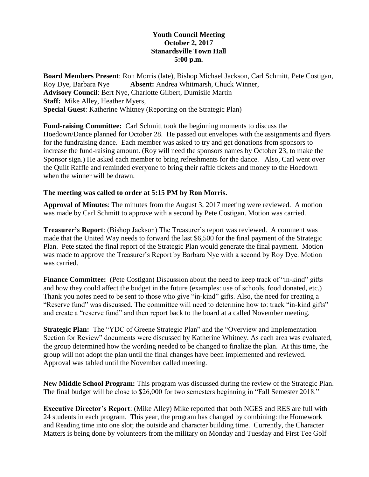## **Youth Council Meeting October 2, 2017 Stanardsville Town Hall 5:00 p.m.**

**Board Members Present**: Ron Morris (late), Bishop Michael Jackson, Carl Schmitt, Pete Costigan, Roy Dye, Barbara Nye **Absent:** Andrea Whitmarsh, Chuck Winner, **Advisory Council**: Bert Nye, Charlotte Gilbert, Dumisile Martin **Staff:** Mike Alley, Heather Myers, **Special Guest**: Katherine Whitney (Reporting on the Strategic Plan)

**Fund-raising Committee:** Carl Schmitt took the beginning moments to discuss the Hoedown/Dance planned for October 28. He passed out envelopes with the assignments and flyers for the fundraising dance. Each member was asked to try and get donations from sponsors to increase the fund-raising amount. (Roy will need the sponsors names by October 23, to make the Sponsor sign.) He asked each member to bring refreshments for the dance. Also, Carl went over the Quilt Raffle and reminded everyone to bring their raffle tickets and money to the Hoedown when the winner will be drawn.

## **The meeting was called to order at 5:15 PM by Ron Morris.**

**Approval of Minutes**: The minutes from the August 3, 2017 meeting were reviewed. A motion was made by Carl Schmitt to approve with a second by Pete Costigan. Motion was carried.

**Treasurer's Report**: (Bishop Jackson) The Treasurer's report was reviewed. A comment was made that the United Way needs to forward the last \$6,500 for the final payment of the Strategic Plan. Pete stated the final report of the Strategic Plan would generate the final payment. Motion was made to approve the Treasurer's Report by Barbara Nye with a second by Roy Dye. Motion was carried.

**Finance Committee:** (Pete Costigan) Discussion about the need to keep track of "in-kind" gifts and how they could affect the budget in the future (examples: use of schools, food donated, etc.) Thank you notes need to be sent to those who give "in-kind" gifts. Also, the need for creating a "Reserve fund" was discussed. The committee will need to determine how to: track "in-kind gifts" and create a "reserve fund" and then report back to the board at a called November meeting.

**Strategic Plan:** The "YDC of Greene Strategic Plan" and the "Overview and Implementation Section for Review" documents were discussed by Katherine Whitney. As each area was evaluated, the group determined how the wording needed to be changed to finalize the plan. At this time, the group will not adopt the plan until the final changes have been implemented and reviewed. Approval was tabled until the November called meeting.

**New Middle School Program:** This program was discussed during the review of the Strategic Plan. The final budget will be close to \$26,000 for two semesters beginning in "Fall Semester 2018."

**Executive Director's Report**: (Mike Alley) Mike reported that both NGES and RES are full with 24 students in each program. This year, the program has changed by combining: the Homework and Reading time into one slot; the outside and character building time. Currently, the Character Matters is being done by volunteers from the military on Monday and Tuesday and First Tee Golf